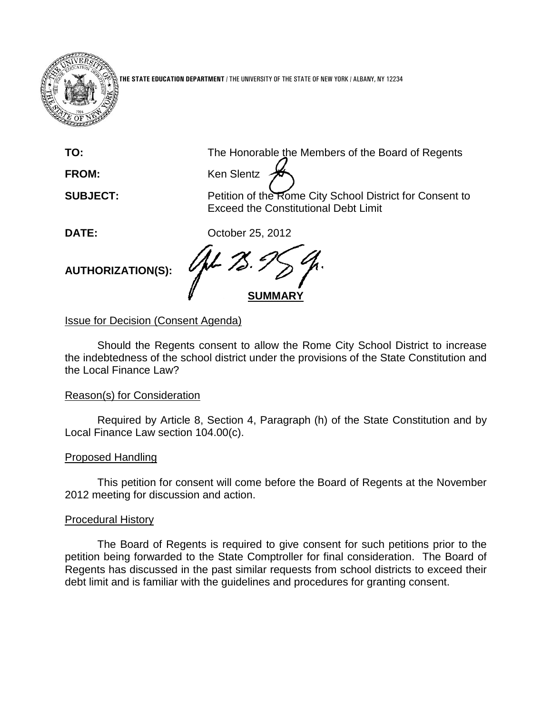

**THE STATE EDUCATION DEPARTMENT** / THE UNIVERSITY OF THE STATE OF NEW YORK / ALBANY, NY 12234

**TO:** The Honorable the Members of the Board of Regents

FROM: Ken Slentz

**SUBJECT:** Petition of the Rome City School District for Consent to Exceed the Constitutional Debt Limit

**DATE:** October 25, 2012

**AUTHORIZATION(S):**

**SUMMARY**

**Issue for Decision (Consent Agenda)** 

Should the Regents consent to allow the Rome City School District to increase the indebtedness of the school district under the provisions of the State Constitution and the Local Finance Law?

### Reason(s) for Consideration

Required by Article 8, Section 4, Paragraph (h) of the State Constitution and by Local Finance Law section 104.00(c).

# Proposed Handling

This petition for consent will come before the Board of Regents at the November 2012 meeting for discussion and action.

# Procedural History

The Board of Regents is required to give consent for such petitions prior to the petition being forwarded to the State Comptroller for final consideration. The Board of Regents has discussed in the past similar requests from school districts to exceed their debt limit and is familiar with the guidelines and procedures for granting consent.